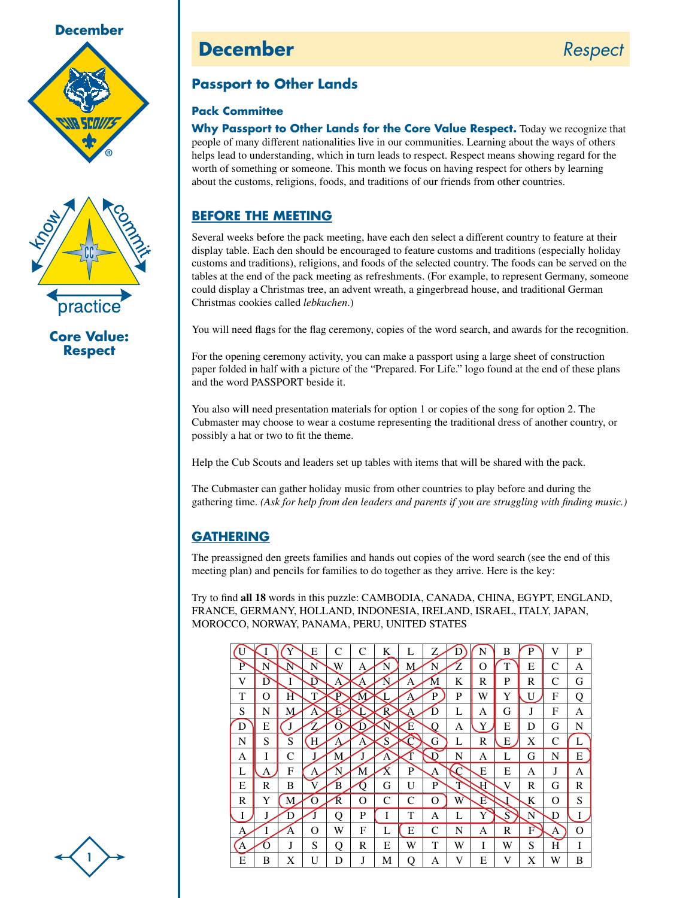



**Core Value: Respect**

## **December** *Respect*



## **Passport to Other Lands**

## **Pack Committee**

**Why Passport to Other Lands for the Core Value Respect.** Today we recognize that people of many different nationalities live in our communities. Learning about the ways of others helps lead to understanding, which in turn leads to respect. Respect means showing regard for the worth of something or someone. This month we focus on having respect for others by learning about the customs, religions, foods, and traditions of our friends from other countries.

## **Before the Meeting**

Several weeks before the pack meeting, have each den select a different country to feature at their display table. Each den should be encouraged to feature customs and traditions (especially holiday customs and traditions), religions, and foods of the selected country. The foods can be served on the tables at the end of the pack meeting as refreshments. (For example, to represent Germany, someone could display a Christmas tree, an advent wreath, a gingerbread house, and traditional German Christmas cookies called *lebkuchen*.)

You will need flags for the flag ceremony, copies of the word search, and awards for the recognition.

For the opening ceremony activity, you can make a passport using a large sheet of construction paper folded in half with a picture of the "Prepared. For Life." logo found at the end of these plans and the word PASSPORT beside it.

You also will need presentation materials for option 1 or copies of the song for option 2. The Cubmaster may choose to wear a costume representing the traditional dress of another country, or possibly a hat or two to fit the theme.

Help the Cub Scouts and leaders set up tables with items that will be shared with the pack.

The Cubmaster can gather holiday music from other countries to play before and during the gathering time. *(Ask for help from den leaders and parents if you are struggling with finding music.)*

## **Gathering**

The preassigned den greets families and hands out copies of the word search (see the end of this meeting plan) and pencils for families to do together as they arrive. Here is the key:

Try to find **all 18** words in this puzzle: CAMBODIA, CANADA, CHINA, EGYPT, ENGLAND, FRANCE, GERMANY, HOLLAND, INDONESIA, IRELAND, ISRAEL, ITALY, JAPAN, MOROCCO, NORWAY, PANAMA, PERU, UNITED STATES

|   |   | 1 | E | C | C            | K            | L | 7 | D | N | B | P | V | P |
|---|---|---|---|---|--------------|--------------|---|---|---|---|---|---|---|---|
| P | N | Ñ | N | W | А            | N            | М | N | Z | O | T | E | C | А |
| V | D | I | D | А | А            | $\mathbf{N}$ | А | M | K | R | P | R | C | G |
| T | O | H | Т | p | $\mathbf{M}$ |              | Α | P | P | W | Y | U | F | Q |
| S | N | М | Α | Ε |              | R            | A | D | L | А | G | J | F | А |
| D | E | J |   | O | D            | N            | Έ | Ω | А | Y | E | D | G | N |
| N | S | S | Н | А | А            | `S           |   | G | L | R | E | X | C |   |
| А | I | C | J | М |              | А            |   | D | N | А | L | G | N | E |
| L | A | F | А | N | M            | v<br>Λ       | P | А |   | Е | E | А | J | А |
| E | R | B |   | B | n            | G            | U | P | T | A | V | R | G | R |
| R | Y | M | O | R | O            | C            | C | O | W | Ε |   | K | Ω | S |
| I | J | D |   | റ | P            | I            | T | А | L | Y | S | N | D | Ι |
| А | I | Ά | Ω | W | F            | L            | E | C | N | А | R | F | А | O |
| А | O | J | S | Q | R            | E            | W | T | W | I | W | S | Н | I |
| E | B | X | U | D | J            | М            | Q | А | V | E | V | X | W | B |

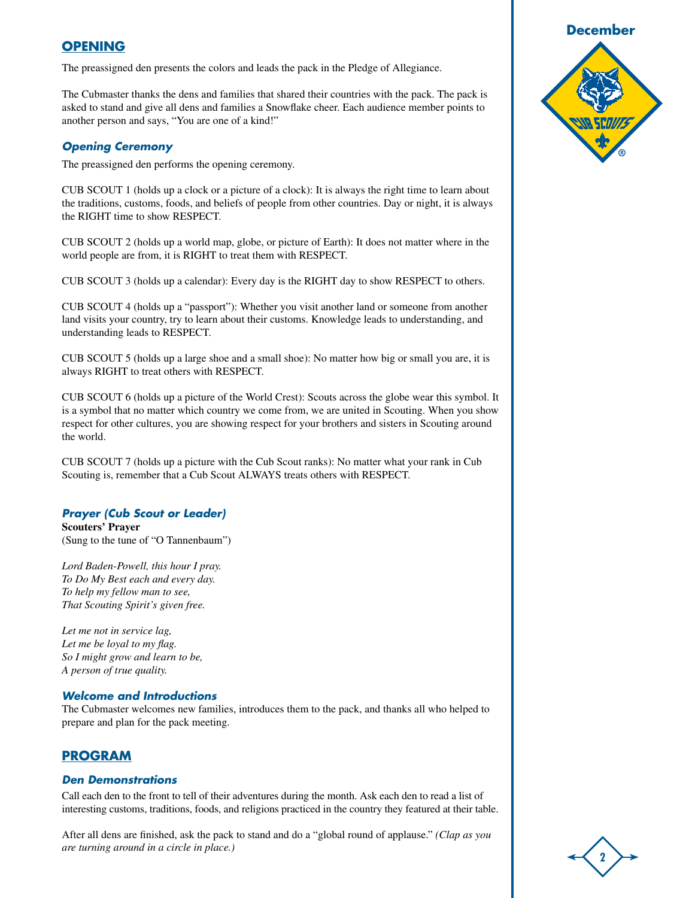## **Opening**

The preassigned den presents the colors and leads the pack in the Pledge of Allegiance.

The Cubmaster thanks the dens and families that shared their countries with the pack. The pack is asked to stand and give all dens and families a Snowflake cheer. Each audience member points to another person and says, "You are one of a kind!"

#### *Opening Ceremony*

The preassigned den performs the opening ceremony.

CUB SCOUT 1 (holds up a clock or a picture of a clock): It is always the right time to learn about the traditions, customs, foods, and beliefs of people from other countries. Day or night, it is always the RIGHT time to show RESPECT.

CUB SCOUT 2 (holds up a world map, globe, or picture of Earth): It does not matter where in the world people are from, it is RIGHT to treat them with RESPECT.

CUB SCOUT 3 (holds up a calendar): Every day is the RIGHT day to show RESPECT to others.

CUB SCOUT 4 (holds up a "passport"): Whether you visit another land or someone from another land visits your country, try to learn about their customs. Knowledge leads to understanding, and understanding leads to RESPECT.

CUB SCOUT 5 (holds up a large shoe and a small shoe): No matter how big or small you are, it is always RIGHT to treat others with RESPECT.

CUB SCOUT 6 (holds up a picture of the World Crest): Scouts across the globe wear this symbol. It is a symbol that no matter which country we come from, we are united in Scouting. When you show respect for other cultures, you are showing respect for your brothers and sisters in Scouting around the world.

CUB SCOUT 7 (holds up a picture with the Cub Scout ranks): No matter what your rank in Cub Scouting is, remember that a Cub Scout ALWAYS treats others with RESPECT.

#### *Prayer (Cub Scout or Leader)*

**Scouters' Prayer** (Sung to the tune of "O Tannenbaum")

*Lord Baden-Powell, this hour I pray. To Do My Best each and every day. To help my fellow man to see, That Scouting Spirit's given free.*

*Let me not in service lag, Let me be loyal to my flag. So I might grow and learn to be, A person of true quality.*

#### *Welcome and Introductions*

The Cubmaster welcomes new families, introduces them to the pack, and thanks all who helped to prepare and plan for the pack meeting.

#### **Program**

#### *Den Demonstrations*

Call each den to the front to tell of their adventures during the month. Ask each den to read a list of interesting customs, traditions, foods, and religions practiced in the country they featured at their table.

After all dens are finished, ask the pack to stand and do a "global round of applause." *(Clap as you are turning around in a circle in place.)*



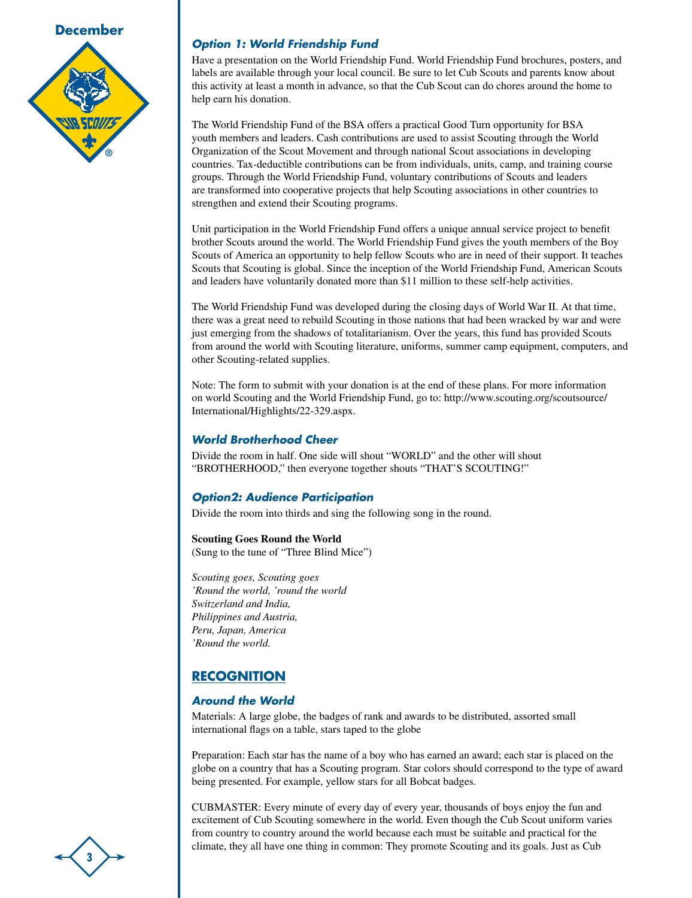

## *Option 1: World Friendship Fund*

Have a presentation on the World Friendship Fund. World Friendship Fund brochures, posters, and labels are available through your local council. Be sure to let Cub Scouts and parents know about this activity at least a month in advance, so that the Cub Scout can do chores around the home to help earn his donation.

The World Friendship Fund of the BSA offers a practical Good Turn opportunity for BSA youth members and leaders. Cash contributions are used to assist Scouting through the World Organization of the Scout Movement and through national Scout associations in developing countries. Tax-deductible contributions can be from individuals, units, camp, and training course groups. Through the World Friendship Fund, voluntary contributions of Scouts and leaders are transformed into cooperative projects that help Scouting associations in other countries to strengthen and extend their Scouting programs.

Unit participation in the World Friendship Fund offers a unique annual service project to benefit brother Scouts around the world. The World Friendship Fund gives the youth members of the Boy Scouts of America an opportunity to help fellow Scouts who are in need of their support. It teaches Scouts that Scouting is global. Since the inception of the World Friendship Fund, American Scouts and leaders have voluntarily donated more than \$11 million to these self-help activities.

The World Friendship Fund was developed during the closing days of World War II. At that time, there was a great need to rebuild Scouting in those nations that had been wracked by war and were just emerging from the shadows of totalitarianism. Over the years, this fund has provided Scouts from around the world with Scouting literature, uniforms, summer camp equipment, computers, and other Scouting-related supplies.

Note: The form to submit with your donation is at the end of these plans. For more information on world Scouting and the World Friendship Fund, go to: http://www.scouting.org/scoutsource/ International/Highlights/22-329.aspx.

### *World Brotherhood Cheer*

Divide the room in half. One side will shout "WORLD" and the other will shout "BROTHERHOOD," then everyone together shouts "THAT'S SCOUTING!"

## *Option2: Audience Participation*

Divide the room into thirds and sing the following song in the round.

**Scouting Goes Round the World** (Sung to the tune of "Three Blind Mice")

*Scouting goes, Scouting goes 'Round the world, 'round the world Switzerland and India, Philippines and Austria, Peru, Japan, America 'Round the world.*

## **Recognition**

## *Around the World*

Materials: A large globe, the badges of rank and awards to be distributed, assorted small international flags on a table, stars taped to the globe

Preparation: Each star has the name of a boy who has earned an award; each star is placed on the globe on a country that has a Scouting program. Star colors should correspond to the type of award being presented. For example, yellow stars for all Bobcat badges.

CUBMASTER: Every minute of every day of every year, thousands of boys enjoy the fun and excitement of Cub Scouting somewhere in the world. Even though the Cub Scout uniform varies from country to country around the world because each must be suitable and practical for the climate, they all have one thing in common: They promote Scouting and its goals. Just as Cub

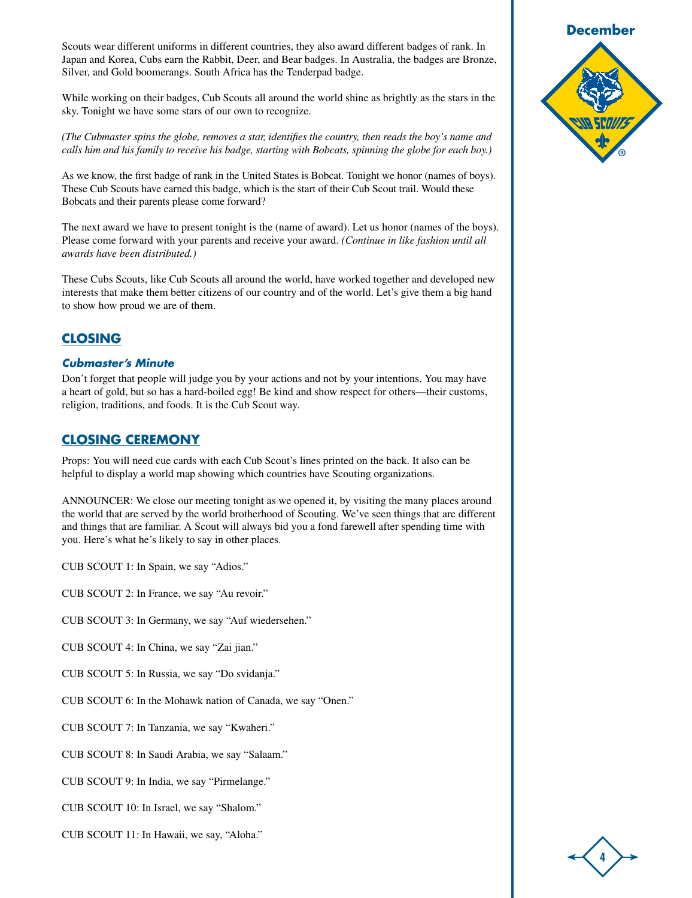Scouts wear different uniforms in different countries, they also award different badges of rank. In Japan and Korea, Cubs earn the Rabbit, Deer, and Bear badges. In Australia, the badges are Bronze, Silver, and Gold boomerangs. South Africa has the Tenderpad badge.

While working on their badges, Cub Scouts all around the world shine as brightly as the stars in the sky. Tonight we have some stars of our own to recognize.

*(The Cubmaster spins the globe, removes a star, identifies the country, then reads the boy's name and calls him and his family to receive his badge, starting with Bobcats, spinning the globe for each boy.)*

As we know, the first badge of rank in the United States is Bobcat. Tonight we honor (names of boys). These Cub Scouts have earned this badge, which is the start of their Cub Scout trail. Would these Bobcats and their parents please come forward?

The next award we have to present tonight is the (name of award). Let us honor (names of the boys). Please come forward with your parents and receive your award. *(Continue in like fashion until all awards have been distributed.)*

These Cubs Scouts, like Cub Scouts all around the world, have worked together and developed new interests that make them better citizens of our country and of the world. Let's give them a big hand to show how proud we are of them.

## **Closing**

### *Cubmaster's Minute*

Don't forget that people will judge you by your actions and not by your intentions. You may have a heart of gold, but so has a hard-boiled egg! Be kind and show respect for others—their customs, religion, traditions, and foods. It is the Cub Scout way.

## **Closing Ceremony**

Props: You will need cue cards with each Cub Scout's lines printed on the back. It also can be helpful to display a world map showing which countries have Scouting organizations.

ANNOUNCER: We close our meeting tonight as we opened it, by visiting the many places around the world that are served by the world brotherhood of Scouting. We've seen things that are different and things that are familiar. A Scout will always bid you a fond farewell after spending time with you. Here's what he's likely to say in other places.

CUB SCOUT 1: In Spain, we say "Adios."

CUB SCOUT 2: In France, we say "Au revoir."

CUB SCOUT 3: In Germany, we say "Auf wiedersehen."

CUB SCOUT 4: In China, we say "Zai jian."

CUB SCOUT 5: In Russia, we say "Do svidanja."

CUB SCOUT 6: In the Mohawk nation of Canada, we say "Onen."

CUB SCOUT 7: In Tanzania, we say "Kwaheri."

CUB SCOUT 8: In Saudi Arabia, we say "Salaam."

CUB SCOUT 9: In India, we say "Pirmelange."

CUB SCOUT 10: In Israel, we say "Shalom."

CUB SCOUT 11: In Hawaii, we say, "Aloha."



**4**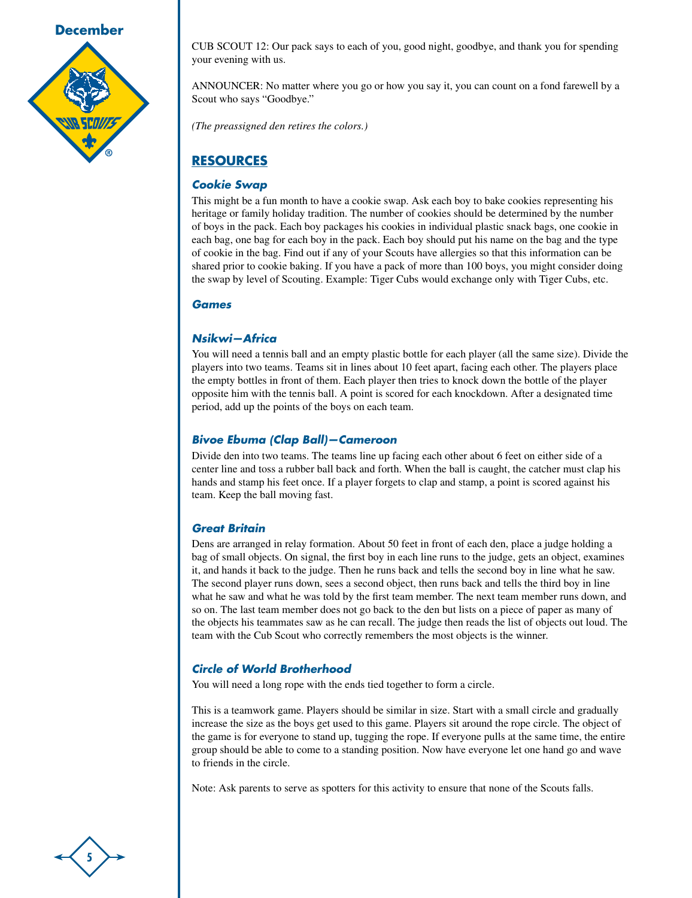

CUB SCOUT 12: Our pack says to each of you, good night, goodbye, and thank you for spending your evening with us.

ANNOUNCER: No matter where you go or how you say it, you can count on a fond farewell by a Scout who says "Goodbye."

*(The preassigned den retires the colors.)*

## **Resources**

## *Cookie Swap*

This might be a fun month to have a cookie swap. Ask each boy to bake cookies representing his heritage or family holiday tradition. The number of cookies should be determined by the number of boys in the pack. Each boy packages his cookies in individual plastic snack bags, one cookie in each bag, one bag for each boy in the pack. Each boy should put his name on the bag and the type of cookie in the bag. Find out if any of your Scouts have allergies so that this information can be shared prior to cookie baking. If you have a pack of more than 100 boys, you might consider doing the swap by level of Scouting. Example: Tiger Cubs would exchange only with Tiger Cubs, etc.

### *Games*

## *Nsikwi—Africa*

You will need a tennis ball and an empty plastic bottle for each player (all the same size). Divide the players into two teams. Teams sit in lines about 10 feet apart, facing each other. The players place the empty bottles in front of them. Each player then tries to knock down the bottle of the player opposite him with the tennis ball. A point is scored for each knockdown. After a designated time period, add up the points of the boys on each team.

## *Bivoe Ebuma (Clap Ball)—Cameroon*

Divide den into two teams. The teams line up facing each other about 6 feet on either side of a center line and toss a rubber ball back and forth. When the ball is caught, the catcher must clap his hands and stamp his feet once. If a player forgets to clap and stamp, a point is scored against his team. Keep the ball moving fast.

## *Great Britain*

Dens are arranged in relay formation. About 50 feet in front of each den, place a judge holding a bag of small objects. On signal, the first boy in each line runs to the judge, gets an object, examines it, and hands it back to the judge. Then he runs back and tells the second boy in line what he saw. The second player runs down, sees a second object, then runs back and tells the third boy in line what he saw and what he was told by the first team member. The next team member runs down, and so on. The last team member does not go back to the den but lists on a piece of paper as many of the objects his teammates saw as he can recall. The judge then reads the list of objects out loud. The team with the Cub Scout who correctly remembers the most objects is the winner.

## *Circle of World Brotherhood*

You will need a long rope with the ends tied together to form a circle.

This is a teamwork game. Players should be similar in size. Start with a small circle and gradually increase the size as the boys get used to this game. Players sit around the rope circle. The object of the game is for everyone to stand up, tugging the rope. If everyone pulls at the same time, the entire group should be able to come to a standing position. Now have everyone let one hand go and wave to friends in the circle.

Note: Ask parents to serve as spotters for this activity to ensure that none of the Scouts falls.

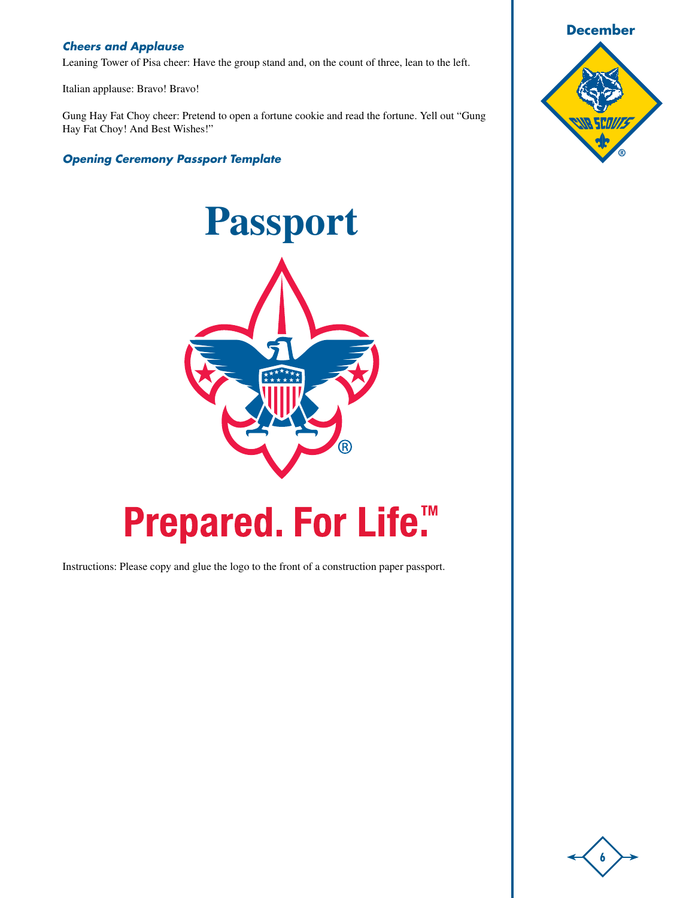## *Cheers and Applause*

Leaning Tower of Pisa cheer: Have the group stand and, on the count of three, lean to the left.

Italian applause: Bravo! Bravo!

Gung Hay Fat Choy cheer: Pretend to open a fortune cookie and read the fortune. Yell out "Gung Hay Fat Choy! And Best Wishes!"

*Opening Ceremony Passport Template*



# Prepared. For Life.™

Instructions: Please copy and glue the logo to the front of a construction paper passport.



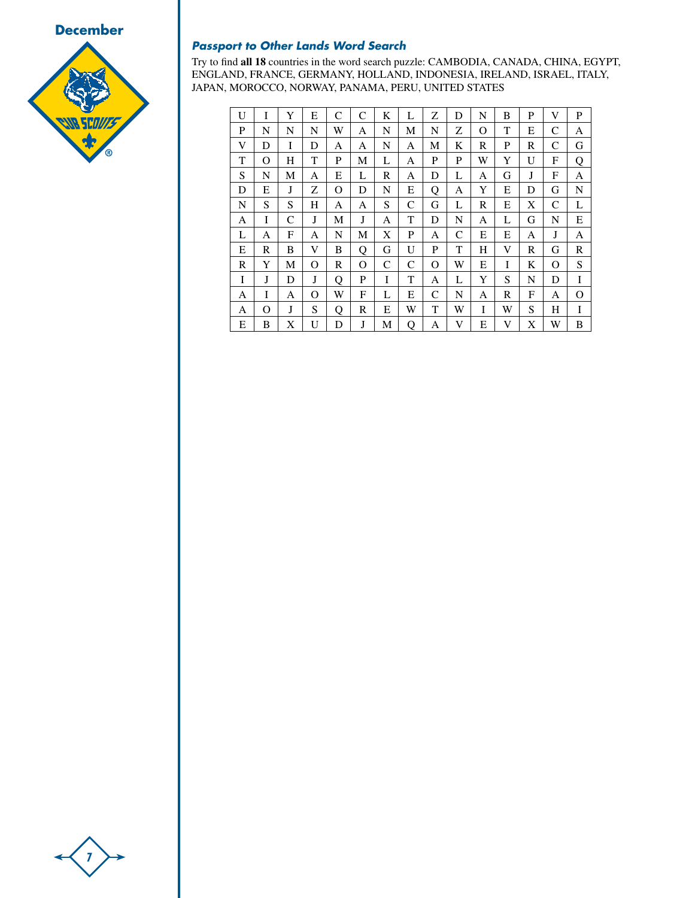



## *Passport to Other Lands Word Search*

Try to find **all 18** countries in the word search puzzle: CAMBODIA, CANADA, CHINA, EGYPT, ENGLAND, FRANCE, GERMANY, HOLLAND, INDONESIA, IRELAND, ISRAEL, ITALY, JAPAN, MOROCCO, NORWAY, PANAMA, PERU, UNITED STATES

| U | I | Y | E | C | C | K | L | Ζ | D | N | B | P | V | P |
|---|---|---|---|---|---|---|---|---|---|---|---|---|---|---|
| P | N | N | N | W | А | N | М | N | Ζ | O | T | E | C | А |
| V | D | I | D | А | А | N | А | М | K | R | P | R | C | G |
| T | O | H | T | P | М | L | А | P | P | W | Y | U | F | Q |
| S | N | М | А | E | L | R | А | D | L | А | G | J | F | А |
| D | Е | J | Z | O | D | N | E | Q | А | Y | E | D | G | N |
| N | S | S | H | A | A | S | C | G | L | R | E | X | C | L |
| A | I | C | J | М | J | A | T | D | N | А | L | G | N | E |
| L | А | F | А | N | М | X | P | A | C | Е | Е | А | J | А |
| Е | R | B | V | B | Q | G | U | P | T | Н | V | R | G | R |
| R | Y | М | O | R | O | C | C | O | W | Е | I | K | О | S |
| I | J | D | J | Q | P | I | T | А | L | Y | S | N | D | I |
| A | I | A | O | W | F | L | Е | C | N | А | R | F | A | Ω |
| А | O | J | S | Q | R | E | W | T | W | I | W | S | Н | I |
| E | B | X | U | D | J | М | Q | A | V | E | V | X | W | B |